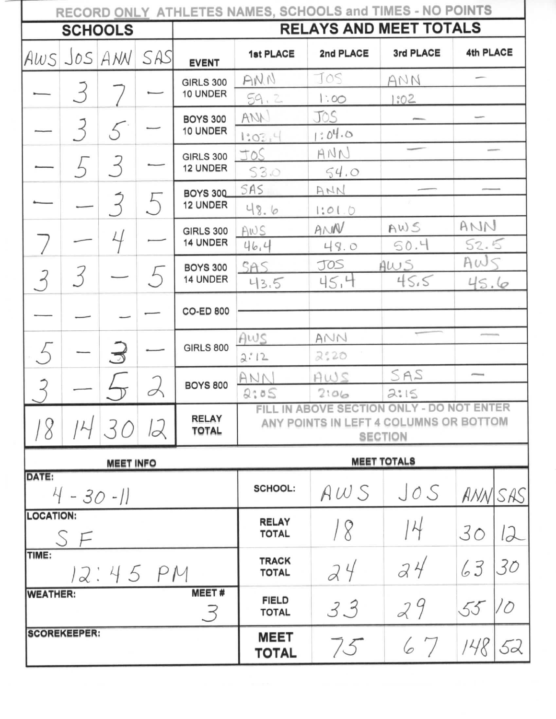| RECORD ONLY ATHLETES NAMES, SCHOOLS and TIMES - NO POINTS |                |                          |             |                               |                                                                                                          |                    |           |                          |    |  |  |
|-----------------------------------------------------------|----------------|--------------------------|-------------|-------------------------------|----------------------------------------------------------------------------------------------------------|--------------------|-----------|--------------------------|----|--|--|
| <b>SCHOOLS</b>                                            |                |                          |             | <b>RELAYS AND MEET TOTALS</b> |                                                                                                          |                    |           |                          |    |  |  |
| AWS JOS ANN                                               |                |                          | SAS         | <b>EVENT</b>                  | 1st PLACE                                                                                                | 2nd PLACE          | 3rd PLACE | 4th PLACE                |    |  |  |
|                                                           |                |                          |             | <b>GIRLS 300</b>              | ANN                                                                                                      | JOS                | ANN       |                          |    |  |  |
|                                                           | 3              |                          |             | 10 UNDER                      | 59,2                                                                                                     | 1:00               | 1:02      |                          |    |  |  |
|                                                           |                |                          |             | <b>BOYS 300</b>               | ANN                                                                                                      | JOS                |           |                          |    |  |  |
|                                                           | $\overline{3}$ | 5                        |             | 10 UNDER                      | 1.03,4                                                                                                   | 3.04.0             |           |                          |    |  |  |
|                                                           |                | $\overline{\mathcal{Z}}$ |             | <b>GIRLS 300</b>              | JOS                                                                                                      | ANN                |           |                          |    |  |  |
|                                                           |                |                          |             | 12 UNDER                      | 53.0                                                                                                     | 54.0               |           |                          |    |  |  |
|                                                           |                | $\overline{3}$           |             | <b>BOYS 300</b><br>12 UNDER   | SAS                                                                                                      | ANN                |           |                          |    |  |  |
|                                                           |                |                          |             |                               | 48.6                                                                                                     | 1:01.0             |           |                          |    |  |  |
|                                                           |                |                          |             | <b>GIRLS 300</b>              | AWS                                                                                                      | AMW                | AWS       | ANN                      |    |  |  |
|                                                           |                |                          |             | 14 UNDER                      | 46.4                                                                                                     | 49.0               | 50.4      | 52.5                     |    |  |  |
| $\mathcal{S}$                                             | 3              |                          | $5\sqrt{2}$ | <b>BOYS 300</b><br>14 UNDER   | SAS                                                                                                      | JOS                | AWS       | Aw5                      |    |  |  |
|                                                           |                |                          |             |                               | 43.5                                                                                                     | 45.4               | 45.5      | 45.6                     |    |  |  |
|                                                           |                |                          |             | <b>CO-ED 800</b>              |                                                                                                          |                    |           |                          |    |  |  |
|                                                           |                |                          |             |                               | AWS                                                                                                      | ANN                |           |                          |    |  |  |
|                                                           |                | $\mathfrak{Z}$           |             | <b>GIRLS 800</b>              | 2:12                                                                                                     | 2:20               |           |                          |    |  |  |
|                                                           |                |                          |             |                               | ANN                                                                                                      | AWS                | SAS       | $\overline{\phantom{a}}$ |    |  |  |
|                                                           |                |                          |             | <b>BOYS 800</b>               | 2:05                                                                                                     | 2:06               | 2:15      |                          |    |  |  |
| 8                                                         |                | 30                       | 12          | <b>RELAY</b><br><b>TOTAL</b>  | ONLY - DO NOT ENTER<br>FILL IN ABOVE SECTION<br>ANY POINTS IN LEFT 4 COLUMNS OR BOTTOM<br><b>SECTION</b> |                    |           |                          |    |  |  |
|                                                           |                | <b>MEET INFO</b>         |             |                               |                                                                                                          | <b>MEET TOTALS</b> |           |                          |    |  |  |
| DATE:<br>$4 - 30 - 11$                                    |                |                          |             |                               | <b>SCHOOL:</b>                                                                                           | AWS                | JOS       | ANNSAS                   |    |  |  |
| <b>LOCATION:</b><br>S F                                   |                |                          |             |                               | <b>RELAY</b><br><b>TOTAL</b>                                                                             |                    | 14        | 30                       | 12 |  |  |
| TIME:<br>12:45 PM                                         |                |                          |             |                               | <b>TRACK</b><br><b>TOTAL</b>                                                                             | 24                 | 34        | 63                       | 30 |  |  |
| <b>WEATHER:</b>                                           |                |                          |             | <b>MEET#</b><br>3             | <b>FIELD</b><br><b>TOTAL</b>                                                                             | 33                 | 29        | 55                       |    |  |  |
| <b>SCOREKEEPER:</b>                                       |                |                          |             |                               | <b>MEET</b><br><b>TOTAL</b>                                                                              | 75                 | 67        | 148                      | 52 |  |  |

**STATE**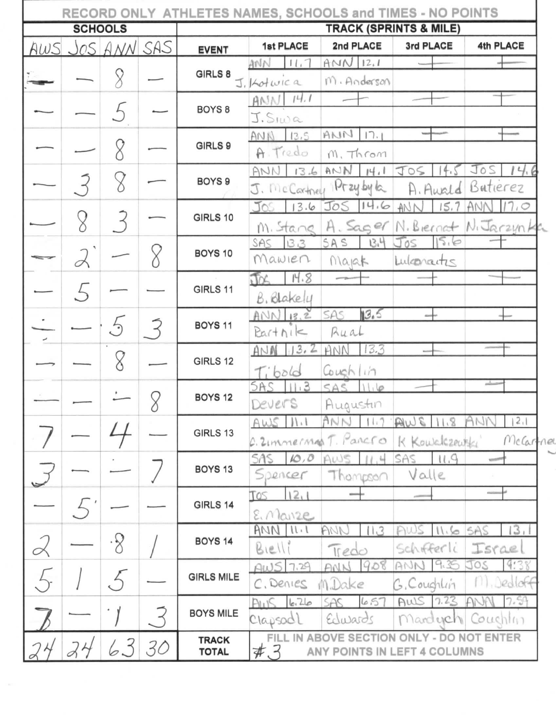| RECORD ONLY ATHLETES NAMES, SCHOOLS and TIMES - NO POINTS |  |             |    |                                   |                            |                              |                                                                           |                               |  |
|-----------------------------------------------------------|--|-------------|----|-----------------------------------|----------------------------|------------------------------|---------------------------------------------------------------------------|-------------------------------|--|
| <b>SCHOOLS</b>                                            |  |             |    | <b>TRACK (SPRINTS &amp; MILE)</b> |                            |                              |                                                                           |                               |  |
| AWS                                                       |  | JOS ANN SAS |    | <b>EVENT</b>                      | 1st PLACE                  | 2nd PLACE                    | 3rd PLACE                                                                 | 4th PLACE                     |  |
|                                                           |  |             |    | GIRLS 8                           | ANN<br>11.7<br>J. Kotwica  | AMN12.1<br>M. Anderson       |                                                                           |                               |  |
|                                                           |  |             |    | BOYS <sub>8</sub>                 | AM114.7<br>J.S.wa          |                              |                                                                           |                               |  |
|                                                           |  |             |    | GIRLS 9                           | 13,5<br>ANN<br>A. Tredo    | $AMN$ $17.1$<br>M. Throm     |                                                                           |                               |  |
|                                                           |  |             |    | BOYS <sub>9</sub>                 | 136<br>ANN<br>J. McCartner | ANMHI<br>$Pr$ zy by $k$      | JOS<br>4 <sub>t</sub><br>A. Awald                                         | JOS<br>14.<br>Butierez        |  |
|                                                           |  |             |    | GIRLS 10                          | 13.6<br>Jos<br>M. Stane    | 14.6<br>Jos<br>H. Sager      | 15.7<br>AN                                                                | 7,0<br>N. Biernat N. Jarzunta |  |
|                                                           |  |             |    | BOYS 10                           | SAS<br>13.3<br>Mawien      | 13.4<br>SAS<br>Marak         | 105<br>Lukonartis                                                         |                               |  |
|                                                           |  |             |    | GIRLS 11                          | 14.8<br>B. Blakely         |                              |                                                                           |                               |  |
|                                                           |  | $\epsilon$  |    | <b>BOYS 11</b>                    | $ANNI$ $13.2$<br>PartN1<   | 13.5<br>SAS<br>Rual          |                                                                           |                               |  |
|                                                           |  |             |    | GIRLS 12                          | 13.2<br>ANA<br>Tibold      | 13.3<br>ANN<br>Couchlin      |                                                                           |                               |  |
|                                                           |  |             |    | <b>BOYS 12</b>                    | 11.3<br>SAS<br>Devers      | SAS<br>11.6<br>Augustin      |                                                                           | ستسلم                         |  |
|                                                           |  |             | U  | GIRLS 13                          | AWS<br>  .                 | AN<br>C. Zimmerman T. Pancro | $ .\,$ 8<br>É,<br>AW<br>K Kowalczewski                                    | 2,1<br>MeCartner              |  |
|                                                           |  |             |    | BOYS <sub>13</sub>                | 10,0<br>SAS.<br>Spencer    | Thompson                     | 11.9<br>SAS<br>Valle                                                      | <b>Montana</b>                |  |
|                                                           |  |             |    | GIRLS 14                          | 121<br>TOS<br>$E.$ Mainze  |                              |                                                                           | micon                         |  |
|                                                           |  | .8          |    | BOYS <sub>14</sub>                | $AMN$ $11.1$<br>Bielli     | 11.3<br>AN<br>Tredo          | 11.6<br>Schifferli                                                        | 13,<br>SAS<br>Israe           |  |
|                                                           |  |             |    | <b>GIRLS MILE</b>                 | 7.29<br>AWS<br>C. Denies   | 908<br>ANN<br>M.Dake         | G. Coughlin                                                               | <b>JOS</b><br>Dedloff         |  |
|                                                           |  |             |    | <b>BOYS MILE</b>                  | 6.26<br>PULIS<br>Clapsodl  | 657<br>SAS<br>Edwards        | AWS 1.23<br>Mardych                                                       | 7.59<br>Couchlin              |  |
|                                                           |  | 6.3         | 30 | <b>TRACK</b><br><b>TOTAL</b>      | #3                         |                              | FILL IN ABOVE SECTION ONLY - DO NOT ENTER<br>ANY POINTS IN LEFT 4 COLUMNS |                               |  |